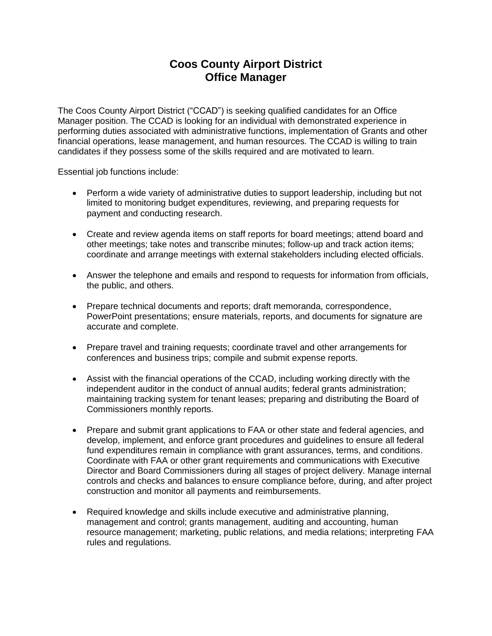## **Coos County Airport District Office Manager**

The Coos County Airport District ("CCAD") is seeking qualified candidates for an Office Manager position. The CCAD is looking for an individual with demonstrated experience in performing duties associated with administrative functions, implementation of Grants and other financial operations, lease management, and human resources. The CCAD is willing to train candidates if they possess some of the skills required and are motivated to learn.

Essential job functions include:

- Perform a wide variety of administrative duties to support leadership, including but not limited to monitoring budget expenditures, reviewing, and preparing requests for payment and conducting research.
- Create and review agenda items on staff reports for board meetings; attend board and other meetings; take notes and transcribe minutes; follow-up and track action items; coordinate and arrange meetings with external stakeholders including elected officials.
- Answer the telephone and emails and respond to requests for information from officials, the public, and others.
- Prepare technical documents and reports; draft memoranda, correspondence, PowerPoint presentations; ensure materials, reports, and documents for signature are accurate and complete.
- Prepare travel and training requests; coordinate travel and other arrangements for conferences and business trips; compile and submit expense reports.
- Assist with the financial operations of the CCAD, including working directly with the independent auditor in the conduct of annual audits; federal grants administration; maintaining tracking system for tenant leases; preparing and distributing the Board of Commissioners monthly reports.
- Prepare and submit grant applications to FAA or other state and federal agencies, and develop, implement, and enforce grant procedures and guidelines to ensure all federal fund expenditures remain in compliance with grant assurances, terms, and conditions. Coordinate with FAA or other grant requirements and communications with Executive Director and Board Commissioners during all stages of project delivery. Manage internal controls and checks and balances to ensure compliance before, during, and after project construction and monitor all payments and reimbursements.
- Required knowledge and skills include executive and administrative planning, management and control; grants management, auditing and accounting, human resource management; marketing, public relations, and media relations; interpreting FAA rules and regulations.